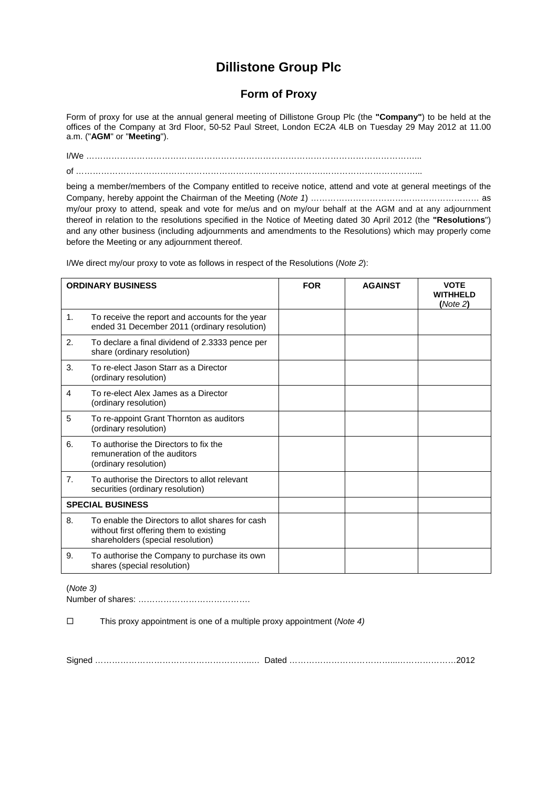## **Dillistone Group Plc**

## **Form of Proxy**

Form of proxy for use at the annual general meeting of Dillistone Group Plc (the **"Company"**) to be held at the offices of the Company at 3rd Floor, 50-52 Paul Street, London EC2A 4LB on Tuesday 29 May 2012 at 11.00 a.m. ("**AGM**" or "**Meeting**").

I/We ………………………………………………………………………………………………………... of …………………………………………………………………………….……………………………...

being a member/members of the Company entitled to receive notice, attend and vote at general meetings of the Company, hereby appoint the Chairman of the Meeting (*Note 1*) …………………………………………………… as my/our proxy to attend, speak and vote for me/us and on my/our behalf at the AGM and at any adjournment thereof in relation to the resolutions specified in the Notice of Meeting dated 30 April 2012 (the **"Resolutions**") and any other business (including adjournments and amendments to the Resolutions) which may properly come before the Meeting or any adjournment thereof.

I/We direct my/our proxy to vote as follows in respect of the Resolutions (*Note 2*):

| <b>ORDINARY BUSINESS</b> |                                                                                                                                  | <b>FOR</b> | <b>AGAINST</b> | <b>VOTE</b><br><b>WITHHELD</b><br>(Note 2) |
|--------------------------|----------------------------------------------------------------------------------------------------------------------------------|------------|----------------|--------------------------------------------|
| 1.                       | To receive the report and accounts for the year<br>ended 31 December 2011 (ordinary resolution)                                  |            |                |                                            |
| 2.                       | To declare a final dividend of 2.3333 pence per<br>share (ordinary resolution)                                                   |            |                |                                            |
| 3.                       | To re-elect Jason Starr as a Director<br>(ordinary resolution)                                                                   |            |                |                                            |
| 4                        | To re-elect Alex James as a Director<br>(ordinary resolution)                                                                    |            |                |                                            |
| 5                        | To re-appoint Grant Thornton as auditors<br>(ordinary resolution)                                                                |            |                |                                            |
| 6.                       | To authorise the Directors to fix the<br>remuneration of the auditors<br>(ordinary resolution)                                   |            |                |                                            |
| 7 <sub>1</sub>           | To authorise the Directors to allot relevant<br>securities (ordinary resolution)                                                 |            |                |                                            |
| <b>SPECIAL BUSINESS</b>  |                                                                                                                                  |            |                |                                            |
| 8.                       | To enable the Directors to allot shares for cash<br>without first offering them to existing<br>shareholders (special resolution) |            |                |                                            |
| 9.                       | To authorise the Company to purchase its own<br>shares (special resolution)                                                      |            |                |                                            |

(*Note 3)* 

Number of shares: ………………………………….

This proxy appointment is one of a multiple proxy appointment (*Note 4)* 

Signed ………………………………………………..… Dated ………………………………...…………………2012